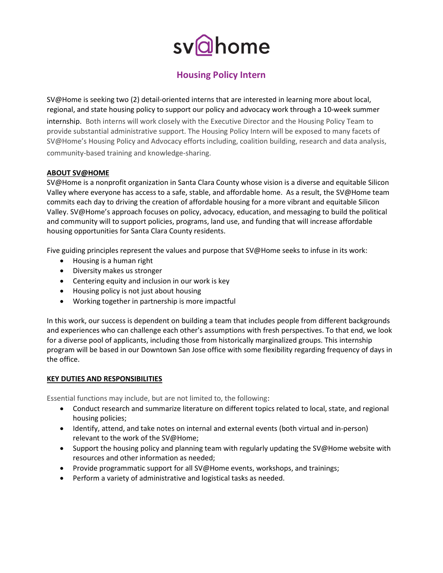# svahome

# Housing Policy Intern

SV@Home is seeking two (2) detail-oriented interns that are interested in learning more about local, regional, and state housing policy to support our policy and advocacy work through a 10-week summer internship. Both interns will work closely with the Executive Director and the Housing Policy Team to provide substantial administrative support. The Housing Policy Intern will be exposed to many facets of SV@Home's Housing Policy and Advocacy efforts including, coalition building, research and data analysis, community-based training and knowledge-sharing.

## ABOUT SV@HOME

SV@Home is a nonprofit organization in Santa Clara County whose vision is a diverse and equitable Silicon Valley where everyone has access to a safe, stable, and affordable home. As a result, the SV@Home team commits each day to driving the creation of affordable housing for a more vibrant and equitable Silicon Valley. SV@Home's approach focuses on policy, advocacy, education, and messaging to build the political and community will to support policies, programs, land use, and funding that will increase affordable housing opportunities for Santa Clara County residents.

Five guiding principles represent the values and purpose that SV@Home seeks to infuse in its work:

- Housing is a human right
- Diversity makes us stronger
- Centering equity and inclusion in our work is key
- Housing policy is not just about housing
- Working together in partnership is more impactful

In this work, our success is dependent on building a team that includes people from different backgrounds and experiences who can challenge each other's assumptions with fresh perspectives. To that end, we look for a diverse pool of applicants, including those from historically marginalized groups. This internship program will be based in our Downtown San Jose office with some flexibility regarding frequency of days in the office.

#### KEY DUTIES AND RESPONSIBILITIES

Essential functions may include, but are not limited to, the following:

- Conduct research and summarize literature on different topics related to local, state, and regional housing policies;
- Identify, attend, and take notes on internal and external events (both virtual and in-person) relevant to the work of the SV@Home;
- Support the housing policy and planning team with regularly updating the SV@Home website with resources and other information as needed;
- Provide programmatic support for all SV@Home events, workshops, and trainings;
- Perform a variety of administrative and logistical tasks as needed.